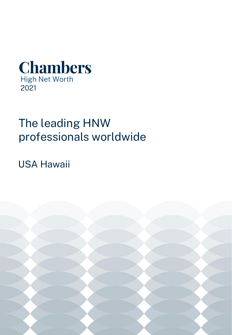

# The leading HNW professionals worldwide

USA Hawaii

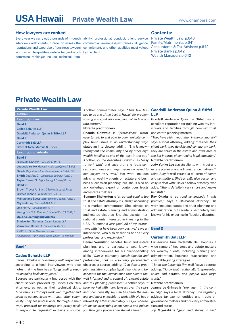#### **How lawyers are ranked**

Every year we carry out thousands of in-depth ability, professional conduct, client service, interviews with clients in order to assess the commercial awareness/astuteness, diligence, reputations and expertise of business lawyers commitment, and other qualities most valued [Accountants & Tax Advisers p.642](#page-3-0) worldwide. The qualities we look for (and which by the client. determine rankings) include technical legal

#### **Contents:**

Private Wealth Law p.640 [Family/Matrimonial p.641](#page-2-0) [Private Banks p.642](#page-3-0) [Wealth Managers p.642](#page-3-0)

## **Private Wealth Law**

| <b>Private Wealth Law</b>                                    |
|--------------------------------------------------------------|
| <b>Hawaii</b>                                                |
| <b>Leading Firms</b>                                         |
| <b>Band1</b>                                                 |
| <b>Cades Schutte LLP</b>                                     |
| <b>Goodsill Anderson Quinn &amp; Stifel LLP</b>              |
| <b>Band 2</b>                                                |
| <b>Carlsmith Ball LLP</b>                                    |
| <b>Starn O'Toole Marcus &amp; Fisher</b>                     |
| <b>Leading Individuals</b>                                   |
| <b>Band1</b>                                                 |
| Griswold Rhonda Cades Schutte LLP                            |
| Lee Judy Yuriko Goodsill Anderson Ouinn & Stifel             |
| Okada Ray Goodsill Anderson Quinn & Stifel LLP               |
| <b>Smith Douglas C.</b> Damon Key Leong A (ORL) $\diamond$   |
| Taylor Carroll S Taylor, Leong & Chee (ORL) ♦                |
| <b>Band 2</b>                                                |
| <b>Brown Trevor A. Starn O'Toole Marcus &amp; Fisher</b>     |
| Grimes Joanne Lo Carlsmith Ball LLP                          |
| Makuakane Scott Est8Planning Counsel (ORL) $\diamond$        |
| Miyasaki Joy Carlsmith Ball LLP                              |
| Oda Harry Carlsmith Ball LLP                                 |
| Young Eric S.T The Law Offices of Eric S.T. (ORL) $\diamond$ |
| <b>Up-and-coming individuals</b>                             |
| <b>Shelverton Summer Cades Schutte LLP</b>                   |
| <b>Vermillion Daniel C. Cades Schutte LLP</b>                |
| $\Diamond$ (ORL) = Other Ranked Lawyer.                      |
| Alphabetical within each band. Band 1 is highest.            |
|                                                              |

### **Band 1**

#### **Cades Schutte LLP**

Cades Schutte is *"extremely well respected,"* according to a local interviewee, who also notes that the firm has a *"longstanding repu-job translating complex legal, financial and tax tation going back many years."*

client service provided by Cades Schutte's *and tax planning processes."* Another says: *"I*  attorneys, as well as their technical skills. *"The various attorneys work well together and and I can honestly say Dan has been the easseem to communicate with each other seam-iest and most enjoyable to work with. He has a lessly. They are professional, thorough in their relaxed style that immediately puts you at ease. work, prepared for meetings and pretty quick He makes everything seem simple and guides to respond to requests,"* explains a source. *you through a process one step at a time."*

*has to be one of the best in Hawaii for problem*  **LLP** *rate matters."*

#### **Notable practitioners**

**Rhonda Griswold** is *"professional, warm, easy to talk to and able to communicate complex trust issues in an understanding way,"* states an interviewee, adding: *"She is known throughout the community and by other high wealth families as one of the best in the city."*  Another source describes Griswold as *"easy to work with"* and says that she *"gets con*advising wealthy clients on estate and busiacknowledged expert on contentious trusts and estates matters.

and related disputes. She also assists inter-known for his expertise in fiduciary disputes. national clients interested in investing in the USA. *"Summer is very good. All of my interactions with her have been very positive,"* says an **Band 2** interviewee, who also describes her as *"very professional and responsive."* 

Sources are particularly impressed with the *well informed and in control of relevant estate*  skills. *"Dan is extremely knowledgeable and professional, but is also very personable,"* observes a source, adding: *"Dan does a great concepts for the layman such that clients feel have worked with many lawyers over the years*  **Joanne Lo Grimes** is *"prominent in the com-*

### Another commentator says: *"This law firm*  **Goodsill Anderson Quinn & Stifel**

*solving and good advice in personal and corpo-*Goodsill Anderson Quinn & Stifel has an excellent reputation for guiding wealthy individuals and families through complex trust and estate planning matters.

> *"They have a high reputation in the community,"*  says a local attorney, adding: *"Besides their client work, they do civic and community work; they are active in the estate and trust area of the Bar in terms of continuing legal education."*

#### **Notable practitioners**

*cepts and ideas and legal issues conveyed to*  estate planning and administration matters. *"I non-lawyers very well."* Her work includes *think Judy is well versed in all sorts of estate*  ness succession planning, but she is also an *easy to deal with,"* says a fellow attorney, who **Judy Yuriko Lee** assists clients with trust and *and tax matters. She's a really nice person and*  adds: *"She is definitely very smart and knows her stuff."* 

**Summer Shelverton** is *"an up-and-coming top*  **Ray Okada** is *"as good as anybody in this trust and estate attorney in Hawaii,"* according *practice,"* says a US-based attorney. His to a market commentator. She advises on work includes estate and trust planning and trust and estate planning and administration administration, but Okada is particularly well

#### **Carlsmith Ball LLP**

**Daniel Vermillion** handles trust and estate Full-service firm Carlsmith Ball handles a planning, and is particularly well known wide range of tax, trust and estate matters among interviewees for his client-handling for wealthy clients, including planning and administration, business successions and charitable giving strategies.

> *"I know the Carlsmith firm well,"* says a source, adding: *"I know that traditionally it represented trusts and estates, and people with large trusts."*

#### **Notable practitioners**

*munity,"* says a local attorney. She regularly advises tax-exempt entities and trusts on governance matters and fiduciary administration and duties.

**Joy Miyasaki** is *"good and strong in tax,"*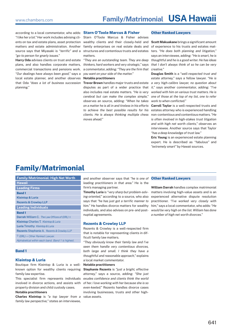<span id="page-2-0"></span>according to a local commentator, who adds: **Starn O'Toole Marcus & Fisher** *"go-to person for gnarly issues."*

**Harry Oda** advises clients on trust and estate plans, and also handles corporate matters, commercial transactions and pensions work. *"Our dealings have always been good,"* says a local estate planner, and another observes *planning."*

*"I like her a lot."* Her work includes advising cli-Starn O'Toole Marcus & Fisher advises ents on tax and estate plans, asset protection wealthy clients and their closely-held and matters and estate administration. Another family enterprises on real estate deals and source says that Miyasaki is *"terrific"* and a structures and contentious trusts and estates matters.

> *"They are an outstanding team. They are deep thinkers, hard workers and very strategic,"* says a commentator, adding: *"They are the firm that you want on your side of the matter."*

#### **Notable practitioners**

that Oda *"does a lot of business succession*  **Trevor Brown** handles major trusts and estate disputes as part of a wider practice that also includes real estate matters. *"He is very cerebral but can make the complex simple,"* observes an source, adding: *"When he takes on a matter he is all in and tireless in his efforts*  **Carroll Taylor** is a well-respected trusts and *to achieve the best possible results for his*  estates attorney who is experienced handling *clients. He is always thinking multiple chess*  non-contentious and contentious matters. *"He moves ahead."*

#### **Other Ranked Lawyers**

**Scott Makuakane** brings a significant amount of experience to his trusts and estates matters. *"He does both planning and litigation,"* says an interviewee, adding: *"He is smart, he is thoughtful and he is a good writer. He has ideas that I don't always think of so he can be very creative."*

**Douglas Smith** is a *"well-respected trust and estate attorney,"* says a fellow lawyer. *"He is a very high-calibre lawyer, no question about it,"* says another commentator, adding: *"I've worked with him on various trust matters. He is one of those at the top of my list, one to refer work to when conflicted."* 

*is often involved in high-stakes trust litigation and with high net worth clients,"* observes an interviewee. Another source says that Taylor *"has a deep knowledge of trust law."*

**Eric Young** is an experienced estate planning expert. He is described as *"fabulous"* and *"extremely smart"* by Hawaii sources.

## **Family/Matrimonial**

| <b>Family/Matrimonial: High Net Worth</b>             |
|-------------------------------------------------------|
| <b>Hawaii</b>                                         |
| <b>Leading Firms</b>                                  |
| <b>Band1</b>                                          |
| Kleintop & Luria                                      |
| <b>Rezents &amp; Crowlev LLP</b>                      |
| <b>Leading Individuals</b>                            |
| <b>Band1</b>                                          |
| Darrah William C. The Law Offices of (ORL) $\diamond$ |
| <b>Kleintop Charles T. Kleintop &amp; Luria</b>       |
| <b>Luria Timothy Kleintop &amp; Luria</b>             |
| <b>Rezents Stephanie A. Rezents &amp; Crowley LLP</b> |
| $\Diamond$ (ORL) = Other Ranked Lawyer.               |
| Alphabetical within each band. Band 1 is highest.     |

### **Band 1**

#### **Kleintop & Luria**

Boutique firm Kleintop & Luria is a wellknown option for wealthy clients requiring family law expertise.

This specialist firm represents individuals involved in divorce actions, and assists with property division and child custody cases.

#### **Notable practitioners**

**Charles Kleintop** is *"a top lawyer from a family law perspective,"* states an interviewee,

and another observer says that *"he is one of*  **Other Ranked Lawyers** *leading practitioners in that area."* He is the firm's managing partner.

**Timothy Luria** is *"very sharp but problem-solving-oriented,"* according to a source, who also says that *"he has just got a terrific manner to him."* He handles divorce matters for wealthy individuals, and also advises on pre- and postnuptial agreements.

#### **Rezents & Crowley LLP**

Rezents & Crowley is a well-respected firm that is notable for representing clients in difficult family law matters.

*"They obviously know their family law and I've seen them handle very contentious divorces, both large and small. I think they have a thoughtful and reasonable approach,"* explains a local market commentator.

#### **Notable practitioners**

**Stephanie Rezents** is *"just a bright, effective attorney,"* says a source, adding: *"She just exudes confidence and clients think the world of her. I love working with her because she is so even-keeled."* Rezents handles divorce cases involving businesses, trusts and other highvalue assets.

**William Darrah** handles complex matrimonial matters involving high-value assets and is an experienced alternative dispute resolution practitioner. *"I've worked very closely with him,"* says a local commentator, who adds: *"He would be very high on the list. William has done a number of high net worth divorces."*